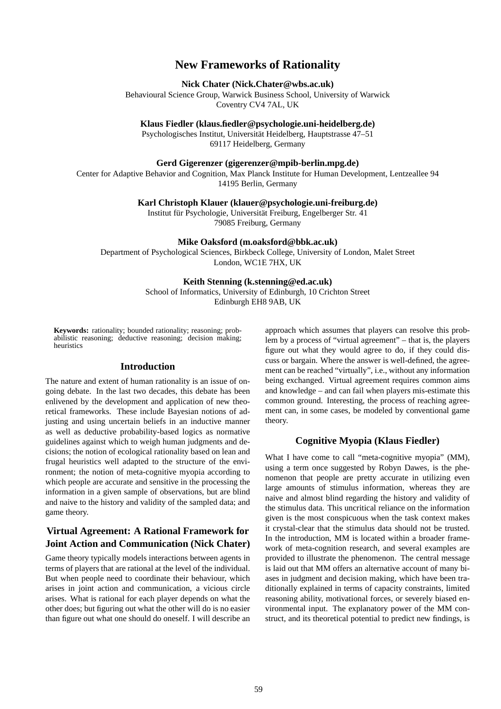# **New Frameworks of Rationality**

#### **Nick Chater (Nick.Chater@wbs.ac.uk)**

Behavioural Science Group, Warwick Business School, University of Warwick Coventry CV4 7AL, UK

**Klaus Fiedler (klaus.fiedler@psychologie.uni-heidelberg.de)**

Psychologisches Institut, Universität Heidelberg, Hauptstrasse 47–51 69117 Heidelberg, Germany

### **Gerd Gigerenzer (gigerenzer@mpib-berlin.mpg.de)**

Center for Adaptive Behavior and Cognition, Max Planck Institute for Human Development, Lentzeallee 94 14195 Berlin, Germany

**Karl Christoph Klauer (klauer@psychologie.uni-freiburg.de)**

Institut für Psychologie, Universität Freiburg, Engelberger Str. 41 79085 Freiburg, Germany

**Mike Oaksford (m.oaksford@bbk.ac.uk)**

Department of Psychological Sciences, Birkbeck College, University of London, Malet Street London, WC1E 7HX, UK

### **Keith Stenning (k.stenning@ed.ac.uk)**

School of Informatics, University of Edinburgh, 10 Crichton Street Edinburgh EH8 9AB, UK

**Keywords:** rationality; bounded rationality; reasoning; probabilistic reasoning; deductive reasoning; decision making; heuristics

### **Introduction**

The nature and extent of human rationality is an issue of ongoing debate. In the last two decades, this debate has been enlivened by the development and application of new theoretical frameworks. These include Bayesian notions of adjusting and using uncertain beliefs in an inductive manner as well as deductive probability-based logics as normative guidelines against which to weigh human judgments and decisions; the notion of ecological rationality based on lean and frugal heuristics well adapted to the structure of the environment; the notion of meta-cognitive myopia according to which people are accurate and sensitive in the processing the information in a given sample of observations, but are blind and naive to the history and validity of the sampled data; and game theory.

## **Virtual Agreement: A Rational Framework for Joint Action and Communication (Nick Chater)**

Game theory typically models interactions between agents in terms of players that are rational at the level of the individual. But when people need to coordinate their behaviour, which arises in joint action and communication, a vicious circle arises. What is rational for each player depends on what the other does; but figuring out what the other will do is no easier than figure out what one should do oneself. I will describe an

approach which assumes that players can resolve this problem by a process of "virtual agreement" – that is, the players figure out what they would agree to do, if they could discuss or bargain. Where the answer is well-defined, the agreement can be reached "virtually", i.e., without any information being exchanged. Virtual agreement requires common aims and knowledge – and can fail when players mis-estimate this common ground. Interesting, the process of reaching agreement can, in some cases, be modeled by conventional game theory.

## **Cognitive Myopia (Klaus Fiedler)**

What I have come to call "meta-cognitive myopia" (MM), using a term once suggested by Robyn Dawes, is the phenomenon that people are pretty accurate in utilizing even large amounts of stimulus information, whereas they are naive and almost blind regarding the history and validity of the stimulus data. This uncritical reliance on the information given is the most conspicuous when the task context makes it crystal-clear that the stimulus data should not be trusted. In the introduction, MM is located within a broader framework of meta-cognition research, and several examples are provided to illustrate the phenomenon. The central message is laid out that MM offers an alternative account of many biases in judgment and decision making, which have been traditionally explained in terms of capacity constraints, limited reasoning ability, motivational forces, or severely biased environmental input. The explanatory power of the MM construct, and its theoretical potential to predict new findings, is